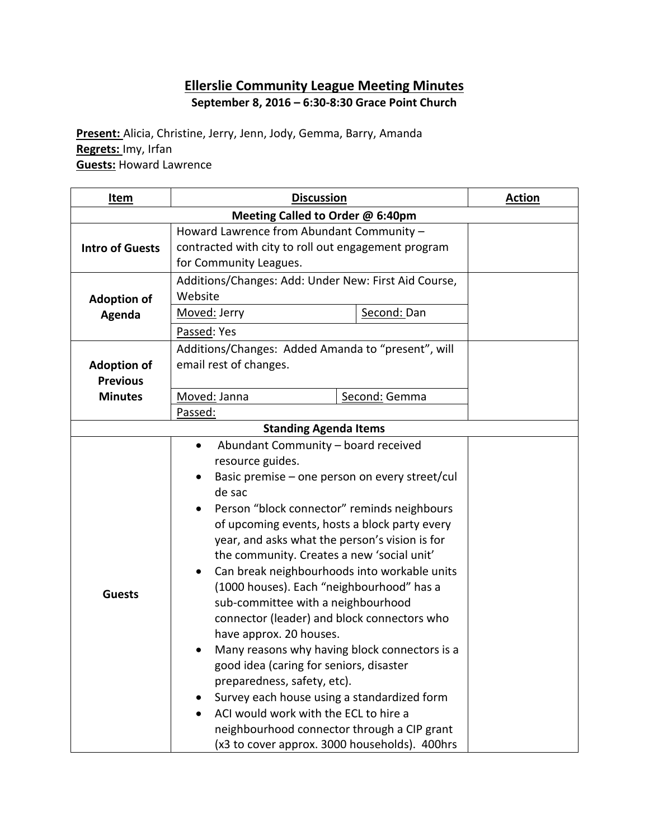# **Ellerslie Community League Meeting Minutes September 8, 2016 – 6:30-8:30 Grace Point Church**

**Present:** Alicia, Christine, Jerry, Jenn, Jody, Gemma, Barry, Amanda **Regrets:** Imy, Irfan **Guests:** Howard Lawrence

| <u>Item</u>                                             | <b>Discussion</b>                                                                                                                                                                                                                                                                                                                                                                                                                                                                                                                                                                                                                                                                                                                                                                                                                                                                  | <b>Action</b> |  |  |  |  |
|---------------------------------------------------------|------------------------------------------------------------------------------------------------------------------------------------------------------------------------------------------------------------------------------------------------------------------------------------------------------------------------------------------------------------------------------------------------------------------------------------------------------------------------------------------------------------------------------------------------------------------------------------------------------------------------------------------------------------------------------------------------------------------------------------------------------------------------------------------------------------------------------------------------------------------------------------|---------------|--|--|--|--|
| Meeting Called to Order @ 6:40pm                        |                                                                                                                                                                                                                                                                                                                                                                                                                                                                                                                                                                                                                                                                                                                                                                                                                                                                                    |               |  |  |  |  |
| <b>Intro of Guests</b>                                  | Howard Lawrence from Abundant Community -<br>contracted with city to roll out engagement program<br>for Community Leagues.                                                                                                                                                                                                                                                                                                                                                                                                                                                                                                                                                                                                                                                                                                                                                         |               |  |  |  |  |
| <b>Adoption of</b><br>Agenda                            | Additions/Changes: Add: Under New: First Aid Course,<br>Website<br>Moved: Jerry<br>Second: Dan<br>Passed: Yes                                                                                                                                                                                                                                                                                                                                                                                                                                                                                                                                                                                                                                                                                                                                                                      |               |  |  |  |  |
| <b>Adoption of</b><br><b>Previous</b><br><b>Minutes</b> | Additions/Changes: Added Amanda to "present", will<br>email rest of changes.<br>Moved: Janna<br>Second: Gemma<br>Passed:                                                                                                                                                                                                                                                                                                                                                                                                                                                                                                                                                                                                                                                                                                                                                           |               |  |  |  |  |
|                                                         | <b>Standing Agenda Items</b>                                                                                                                                                                                                                                                                                                                                                                                                                                                                                                                                                                                                                                                                                                                                                                                                                                                       |               |  |  |  |  |
| <b>Guests</b>                                           | Abundant Community - board received<br>$\bullet$<br>resource guides.<br>Basic premise - one person on every street/cul<br>de sac<br>Person "block connector" reminds neighbours<br>of upcoming events, hosts a block party every<br>year, and asks what the person's vision is for<br>the community. Creates a new 'social unit'<br>Can break neighbourhoods into workable units<br>٠<br>(1000 houses). Each "neighbourhood" has a<br>sub-committee with a neighbourhood<br>connector (leader) and block connectors who<br>have approx. 20 houses.<br>Many reasons why having block connectors is a<br>good idea (caring for seniors, disaster<br>preparedness, safety, etc).<br>Survey each house using a standardized form<br>ACI would work with the ECL to hire a<br>$\bullet$<br>neighbourhood connector through a CIP grant<br>(x3 to cover approx. 3000 households). 400hrs |               |  |  |  |  |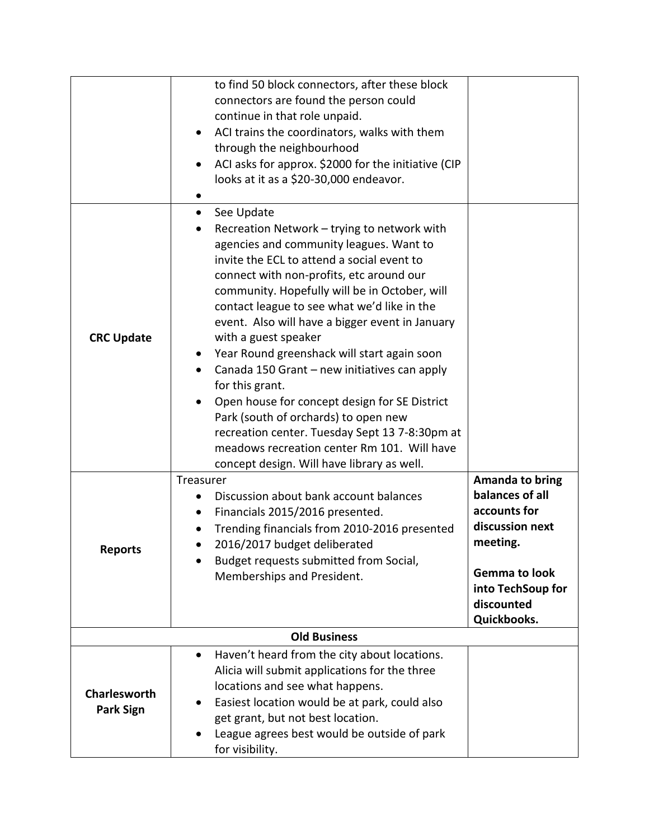|                                         | to find 50 block connectors, after these block<br>connectors are found the person could<br>continue in that role unpaid.<br>ACI trains the coordinators, walks with them<br>$\bullet$<br>through the neighbourhood<br>ACI asks for approx. \$2000 for the initiative (CIP<br>looks at it as a \$20-30,000 endeavor.                                                                                                                                                                                                                                                                                                                                                                                                                                                        |                                                                                                                                                                    |
|-----------------------------------------|----------------------------------------------------------------------------------------------------------------------------------------------------------------------------------------------------------------------------------------------------------------------------------------------------------------------------------------------------------------------------------------------------------------------------------------------------------------------------------------------------------------------------------------------------------------------------------------------------------------------------------------------------------------------------------------------------------------------------------------------------------------------------|--------------------------------------------------------------------------------------------------------------------------------------------------------------------|
| <b>CRC Update</b>                       | See Update<br>$\bullet$<br>Recreation Network - trying to network with<br>agencies and community leagues. Want to<br>invite the ECL to attend a social event to<br>connect with non-profits, etc around our<br>community. Hopefully will be in October, will<br>contact league to see what we'd like in the<br>event. Also will have a bigger event in January<br>with a guest speaker<br>Year Round greenshack will start again soon<br>$\bullet$<br>Canada 150 Grant - new initiatives can apply<br>$\bullet$<br>for this grant.<br>Open house for concept design for SE District<br>Park (south of orchards) to open new<br>recreation center. Tuesday Sept 13 7-8:30pm at<br>meadows recreation center Rm 101. Will have<br>concept design. Will have library as well. |                                                                                                                                                                    |
| <b>Reports</b>                          | Treasurer<br>Discussion about bank account balances<br>Financials 2015/2016 presented.<br>Trending financials from 2010-2016 presented<br>2016/2017 budget deliberated<br>Budget requests submitted from Social,<br>Memberships and President.                                                                                                                                                                                                                                                                                                                                                                                                                                                                                                                             | <b>Amanda to bring</b><br>balances of all<br>accounts for<br>discussion next<br>meeting.<br><b>Gemma to look</b><br>into TechSoup for<br>discounted<br>Quickbooks. |
|                                         | <b>Old Business</b>                                                                                                                                                                                                                                                                                                                                                                                                                                                                                                                                                                                                                                                                                                                                                        |                                                                                                                                                                    |
| <b>Charlesworth</b><br><b>Park Sign</b> | Haven't heard from the city about locations.<br>$\bullet$<br>Alicia will submit applications for the three<br>locations and see what happens.<br>Easiest location would be at park, could also<br>$\bullet$<br>get grant, but not best location.<br>League agrees best would be outside of park<br>for visibility.                                                                                                                                                                                                                                                                                                                                                                                                                                                         |                                                                                                                                                                    |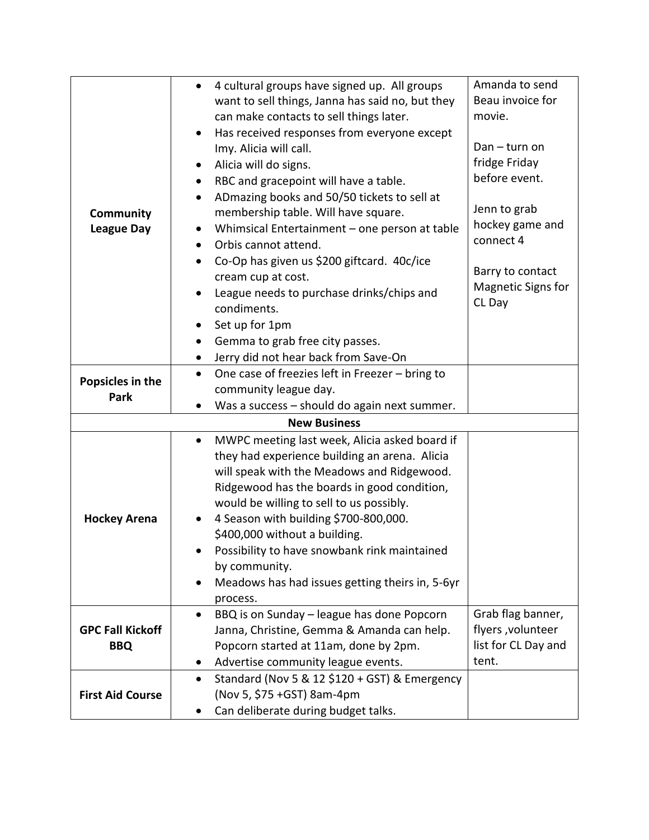|                         | 4 cultural groups have signed up. All groups<br>$\bullet$  | Amanda to send            |
|-------------------------|------------------------------------------------------------|---------------------------|
|                         | want to sell things, Janna has said no, but they           | Beau invoice for          |
|                         | can make contacts to sell things later.                    | movie.                    |
|                         | Has received responses from everyone except                |                           |
|                         | Imy. Alicia will call.                                     | Dan - turn on             |
|                         | Alicia will do signs.                                      | fridge Friday             |
|                         | RBC and gracepoint will have a table.                      | before event.             |
|                         | ADmazing books and 50/50 tickets to sell at                |                           |
| Community               | membership table. Will have square.                        | Jenn to grab              |
| <b>League Day</b>       | Whimsical Entertainment - one person at table              | hockey game and           |
|                         | Orbis cannot attend.                                       | connect 4                 |
|                         | Co-Op has given us \$200 giftcard. 40c/ice                 |                           |
|                         | cream cup at cost.                                         | Barry to contact          |
|                         |                                                            | <b>Magnetic Signs for</b> |
|                         | League needs to purchase drinks/chips and<br>condiments.   | CL Day                    |
|                         |                                                            |                           |
|                         | Set up for 1pm                                             |                           |
|                         | Gemma to grab free city passes.                            |                           |
|                         | Jerry did not hear back from Save-On                       |                           |
| Popsicles in the        | One case of freezies left in Freezer - bring to            |                           |
| Park                    | community league day.                                      |                           |
|                         | Was a success - should do again next summer.               |                           |
|                         | <b>New Business</b>                                        |                           |
|                         | MWPC meeting last week, Alicia asked board if<br>$\bullet$ |                           |
|                         | they had experience building an arena. Alicia              |                           |
|                         | will speak with the Meadows and Ridgewood.                 |                           |
|                         | Ridgewood has the boards in good condition,                |                           |
|                         | would be willing to sell to us possibly.                   |                           |
| <b>Hockey Arena</b>     | 4 Season with building \$700-800,000.                      |                           |
|                         | \$400,000 without a building.                              |                           |
|                         | Possibility to have snowbank rink maintained               |                           |
|                         | by community.                                              |                           |
|                         | Meadows has had issues getting theirs in, 5-6yr            |                           |
|                         | process.                                                   |                           |
|                         | BBQ is on Sunday - league has done Popcorn<br>٠            | Grab flag banner,         |
| <b>GPC Fall Kickoff</b> | Janna, Christine, Gemma & Amanda can help.                 | flyers, volunteer         |
| <b>BBQ</b>              | Popcorn started at 11am, done by 2pm.                      | list for CL Day and       |
|                         | Advertise community league events.                         | tent.                     |
|                         | Standard (Nov 5 & 12 \$120 + GST) & Emergency<br>$\bullet$ |                           |
|                         | (Nov 5, \$75 + GST) 8am-4pm                                |                           |
| <b>First Aid Course</b> |                                                            |                           |
|                         | Can deliberate during budget talks.                        |                           |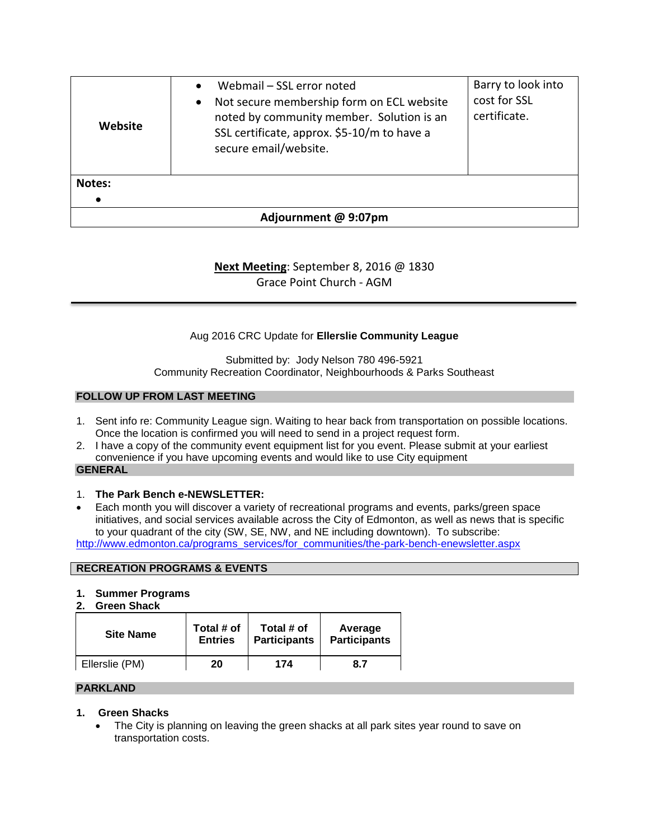| Website              | Webmail – SSL error noted<br>$\bullet$<br>Not secure membership form on ECL website<br>$\bullet$<br>noted by community member. Solution is an<br>SSL certificate, approx. \$5-10/m to have a<br>secure email/website. | Barry to look into<br>cost for SSL<br>certificate. |  |  |
|----------------------|-----------------------------------------------------------------------------------------------------------------------------------------------------------------------------------------------------------------------|----------------------------------------------------|--|--|
| <b>Notes:</b>        |                                                                                                                                                                                                                       |                                                    |  |  |
| Adjournment @ 9:07pm |                                                                                                                                                                                                                       |                                                    |  |  |

## **Next Meeting**: September 8, 2016 @ 1830 Grace Point Church - AGM

## Aug 2016 CRC Update for **Ellerslie Community League**

Submitted by: Jody Nelson 780 496-5921 Community Recreation Coordinator, Neighbourhoods & Parks Southeast

#### **FOLLOW UP FROM LAST MEETING**

- 1. Sent info re: Community League sign. Waiting to hear back from transportation on possible locations. Once the location is confirmed you will need to send in a project request form.
- 2. I have a copy of the community event equipment list for you event. Please submit at your earliest convenience if you have upcoming events and would like to use City equipment

#### **GENERAL**

## 1. **The Park Bench e-NEWSLETTER:**

 Each month you will discover a variety of recreational programs and events, parks/green space initiatives, and social services available across the City of Edmonton, as well as news that is specific to your quadrant of the city (SW, SE, NW, and NE including downtown). To subscribe: [http://www.edmonton.ca/programs\\_services/for\\_communities/the-park-bench-enewsletter.aspx](http://www.edmonton.ca/programs_services/for_communities/the-park-bench-enewsletter.aspx)

#### **RECREATION PROGRAMS & EVENTS**

## **1. Summer Programs**

**2. Green Shack**

| <b>Site Name</b> | Total # of     | Total # of          | Average             |
|------------------|----------------|---------------------|---------------------|
|                  | <b>Entries</b> | <b>Participants</b> | <b>Participants</b> |
| Ellerslie (PM)   | 20             | 174                 | 8.7                 |

#### **PARKLAND**

## **1. Green Shacks**

• The City is planning on leaving the green shacks at all park sites year round to save on transportation costs.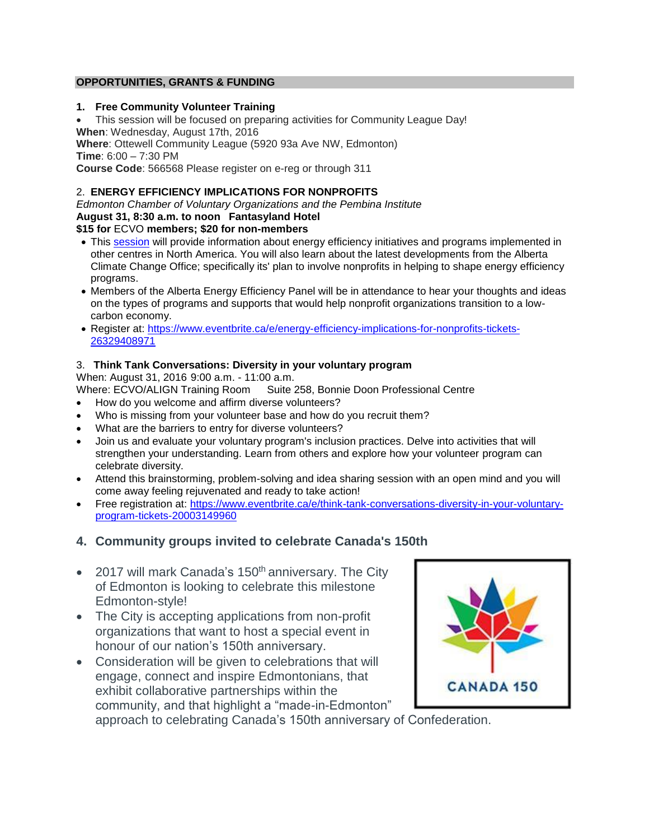## **OPPORTUNITIES, GRANTS & FUNDING**

### **1. Free Community Volunteer Training**

 This session will be focused on preparing activities for Community League Day! **When**: Wednesday, August 17th, 2016 **Where**: Ottewell Community League (5920 93a Ave NW, Edmonton)

**Time**: 6:00 – 7:30 PM

**Course Code**: 566568 Please register on e-reg or through 311

## 2. **ENERGY EFFICIENCY IMPLICATIONS FOR NONPROFITS**

*Edmonton Chamber of Voluntary Organizations and the Pembina Institute* **August 31, 8:30 a.m. to noon Fantasyland Hotel \$15 for** ECVO **members; \$20 for non-members**

- This [session](http://r20.rs6.net/tn.jsp?f=001FYj8bJPmbcQtVDCLwl9aOmrifGuTZrbOS8NijboCEaA3Oh2VQBlzc5k7KiAoDy6GoVMag3nctDy5gQjmZolGXBxBn_HVcUmukQzeFRG5dRx1lLWFH_Rj1uiMDfds6Y8jYvl1ePIIL6fOxTlMvDbbGCV9MdeGN1Pj3YeQBZ0jmH_2VArpedaxz2tlvqokn42F940omdjWH0fvLfj2qOt31Yqx3GCISHXo&c=JWa0o4s9l5q_7wNPJI2wd828tq2vFXeqxZ3STPPx0WMoc6s76Mm78Q==&ch=UELMmIKQg7p40EWq3XNPheatgClG4ipYlInrIazY6Ff1kjxjjMOKVg==) will provide information about energy efficiency initiatives and programs implemented in other centres in North America. You will also learn about the latest developments from the Alberta Climate Change Office; specifically its' plan to involve nonprofits in helping to shape energy efficiency programs.
- Members of the Alberta Energy Efficiency Panel will be in attendance to hear your thoughts and ideas on the types of programs and supports that would help nonprofit organizations transition to a lowcarbon economy.
- Register at: [https://www.eventbrite.ca/e/energy-efficiency-implications-for-nonprofits-tickets-](https://www.eventbrite.ca/e/energy-efficiency-implications-for-nonprofits-tickets-26329408971)[26329408971](https://www.eventbrite.ca/e/energy-efficiency-implications-for-nonprofits-tickets-26329408971)

## 3. **Think Tank Conversations: Diversity in your voluntary program**

When: August 31, 2016 9:00 a.m. - 11:00 a.m.

Where: ECVO/ALIGN Training Room Suite 258, Bonnie Doon Professional Centre

- How do you welcome and affirm diverse volunteers?
- Who is missing from your volunteer base and how do you recruit them?
- What are the barriers to entry for diverse volunteers?
- Join us and evaluate your voluntary program's inclusion practices. Delve into activities that will strengthen your understanding. Learn from others and explore how your volunteer program can celebrate diversity.
- Attend this brainstorming, problem-solving and idea sharing session with an open mind and you will come away feeling rejuvenated and ready to take action!
- Free registration at: [https://www.eventbrite.ca/e/think-tank-conversations-diversity-in-your-voluntary](https://www.eventbrite.ca/e/think-tank-conversations-diversity-in-your-voluntary-program-tickets-20003149960)[program-tickets-20003149960](https://www.eventbrite.ca/e/think-tank-conversations-diversity-in-your-voluntary-program-tickets-20003149960)

## **4. Community groups invited to celebrate Canada's 150th**

- $\bullet$  2017 will mark Canada's 150<sup>th</sup> anniversary. The City of Edmonton is looking to celebrate this milestone Edmonton-style!
- The City is accepting applications from non-profit organizations that want to host a special event in honour of our nation's 150th anniversary.
- Consideration will be given to celebrations that will engage, connect and inspire Edmontonians, that exhibit collaborative partnerships within the community, and that highlight a "made-in-Edmonton"



approach to celebrating Canada's 150th anniversary of Confederation.